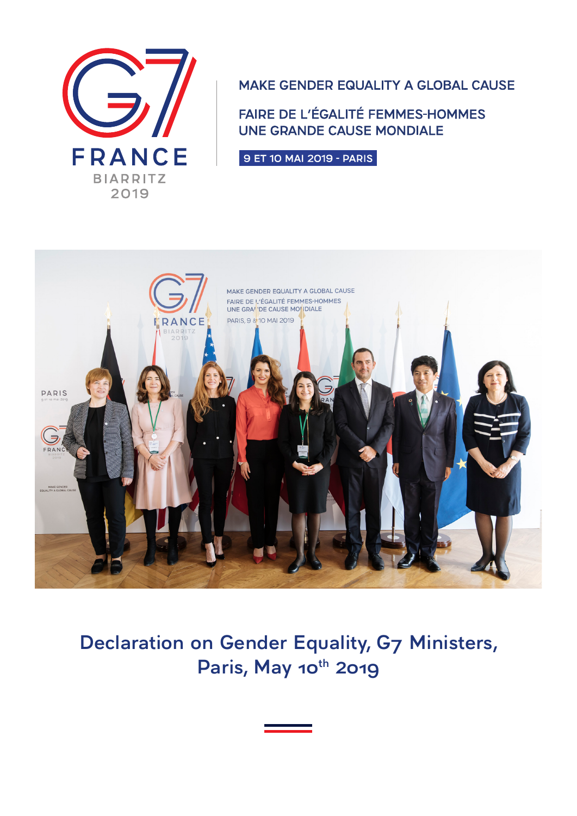

MAKE GENDER EQUALITY A GLOBAL CAUSE

FAIRE DE L'ÉGALITÉ FEMMES-HOMMES **UNE GRANDE CAUSE MONDIALE** 

9 ET 10 MAI 2019 - PARIS



**Declaration on Gender Equality, G7 Ministers,** Paris, May 10<sup>th</sup> 2019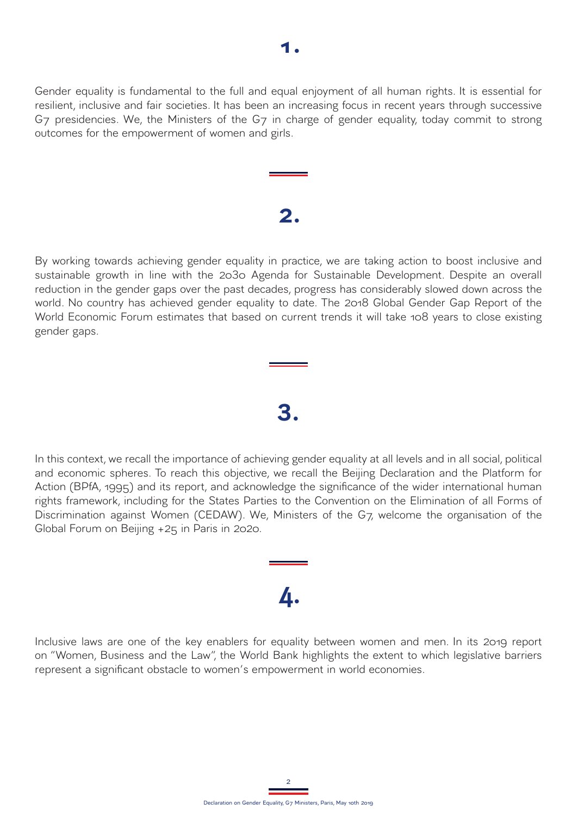Gender equality is fundamental to the full and equal enjoyment of all human rights. It is essential for resilient, inclusive and fair societies. It has been an increasing focus in recent years through successive G7 presidencies. We, the Ministers of the G7 in charge of gender equality, today commit to strong outcomes for the empowerment of women and girls.

# **2.**

By working towards achieving gender equality in practice, we are taking action to boost inclusive and sustainable growth in line with the 2030 Agenda for Sustainable Development. Despite an overall reduction in the gender gaps over the past decades, progress has considerably slowed down across the world. No country has achieved gender equality to date. The 2018 Global Gender Gap Report of the World Economic Forum estimates that based on current trends it will take 108 years to close existing gender gaps.

In this context, we recall the importance of achieving gender equality at all levels and in all social, political and economic spheres. To reach this objective, we recall the Beijing Declaration and the Platform for Action (BPfA, 1995) and its report, and acknowledge the significance of the wider international human rights framework, including for the States Parties to the Convention on the Elimination of all Forms of Discrimination against Women (CEDAW). We, Ministers of the G7, welcome the organisation of the Global Forum on Beijing +25 in Paris in 2020.

**3.**

# **4.**

Inclusive laws are one of the key enablers for equality between women and men. In its 2019 report on "Women, Business and the Law", the World Bank highlights the extent to which legislative barriers represent a significant obstacle to women's empowerment in world economies.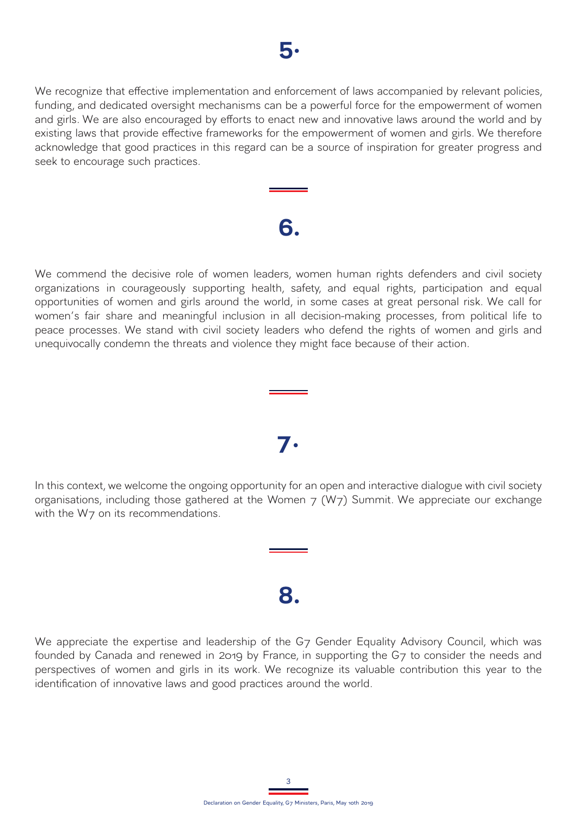We recognize that effective implementation and enforcement of laws accompanied by relevant policies, funding, and dedicated oversight mechanisms can be a powerful force for the empowerment of women and girls. We are also encouraged by efforts to enact new and innovative laws around the world and by existing laws that provide effective frameworks for the empowerment of women and girls. We therefore acknowledge that good practices in this regard can be a source of inspiration for greater progress and seek to encourage such practices.

# **6.**

We commend the decisive role of women leaders, women human rights defenders and civil society organizations in courageously supporting health, safety, and equal rights, participation and equal opportunities of women and girls around the world, in some cases at great personal risk. We call for women's fair share and meaningful inclusion in all decision-making processes, from political life to peace processes. We stand with civil society leaders who defend the rights of women and girls and unequivocally condemn the threats and violence they might face because of their action.

### **7.**

In this context, we welcome the ongoing opportunity for an open and interactive dialogue with civil society organisations, including those gathered at the Women  $7$  (W $7$ ) Summit. We appreciate our exchange with the W7 on its recommendations.

### **8.**

We appreciate the expertise and leadership of the G7 Gender Equality Advisory Council, which was founded by Canada and renewed in 2019 by France, in supporting the G7 to consider the needs and perspectives of women and girls in its work. We recognize its valuable contribution this year to the identification of innovative laws and good practices around the world.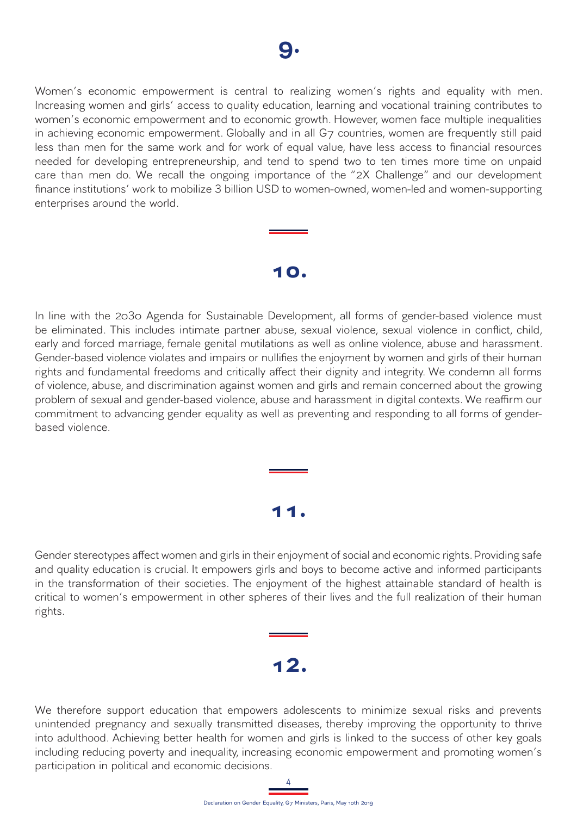Women's economic empowerment is central to realizing women's rights and equality with men. Increasing women and girls' access to quality education, learning and vocational training contributes to women's economic empowerment and to economic growth. However, women face multiple inequalities in achieving economic empowerment. Globally and in all G7 countries, women are frequently still paid less than men for the same work and for work of equal value, have less access to financial resources needed for developing entrepreneurship, and tend to spend two to ten times more time on unpaid care than men do. We recall the ongoing importance of the "2X Challenge" and our development finance institutions' work to mobilize 3 billion USD to women-owned, women-led and women-supporting enterprises around the world.

### **10.**

In line with the 2030 Agenda for Sustainable Development, all forms of gender-based violence must be eliminated. This includes intimate partner abuse, sexual violence, sexual violence in conflict, child, early and forced marriage, female genital mutilations as well as online violence, abuse and harassment. Gender-based violence violates and impairs or nullifies the enjoyment by women and girls of their human rights and fundamental freedoms and critically affect their dignity and integrity. We condemn all forms of violence, abuse, and discrimination against women and girls and remain concerned about the growing problem of sexual and gender-based violence, abuse and harassment in digital contexts. We reaffirm our commitment to advancing gender equality as well as preventing and responding to all forms of genderbased violence.

# **11.**

Gender stereotypes affect women and girls in their enjoyment of social and economic rights. Providing safe and quality education is crucial. It empowers girls and boys to become active and informed participants in the transformation of their societies. The enjoyment of the highest attainable standard of health is critical to women's empowerment in other spheres of their lives and the full realization of their human rights.

## **12.**

We therefore support education that empowers adolescents to minimize sexual risks and prevents unintended pregnancy and sexually transmitted diseases, thereby improving the opportunity to thrive into adulthood. Achieving better health for women and girls is linked to the success of other key goals including reducing poverty and inequality, increasing economic empowerment and promoting women's participation in political and economic decisions.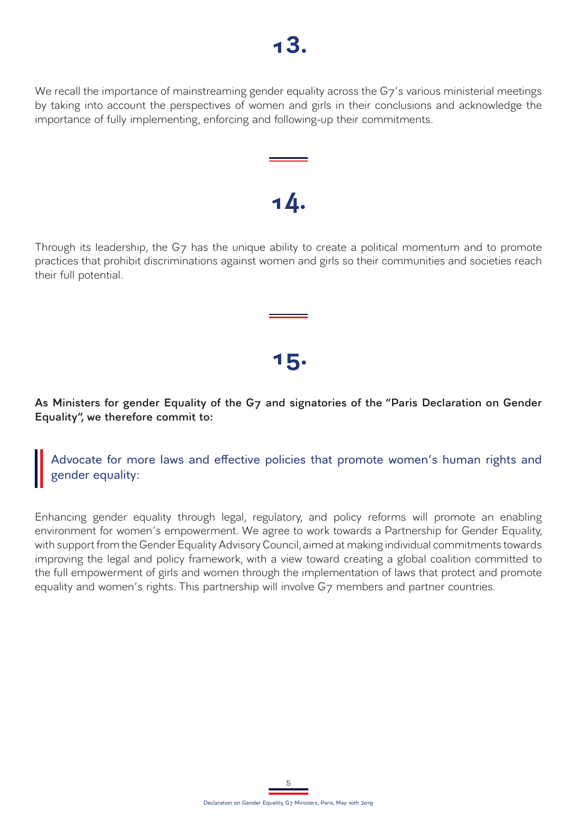We recall the importance of mainstreaming gender equality across the G7's various ministerial meetings by taking into account the perspectives of women and girls in their conclusions and acknowledge the importance of fully implementing, enforcing and following-up their commitments.

### Through its leadership, the G7 has the unique ability to create a political momentum and to promote practices that prohibit discriminations against women and girls so their communities and societies reach their full potential.

**14.**

#### **As Ministers for gender Equality of the G7 and signatories of the "Paris Declaration on Gender Equality", we therefore commit to:**

**15.**

Advocate for more laws and effective policies that promote women's human rights and gender equality:

Enhancing gender equality through legal, regulatory, and policy reforms will promote an enabling environment for women's empowerment. We agree to work towards a Partnership for Gender Equality, with support from the Gender Equality Advisory Council, aimed at making individual commitments towards improving the legal and policy framework, with a view toward creating a global coalition committed to the full empowerment of girls and women through the implementation of laws that protect and promote equality and women's rights. This partnership will involve G7 members and partner countries.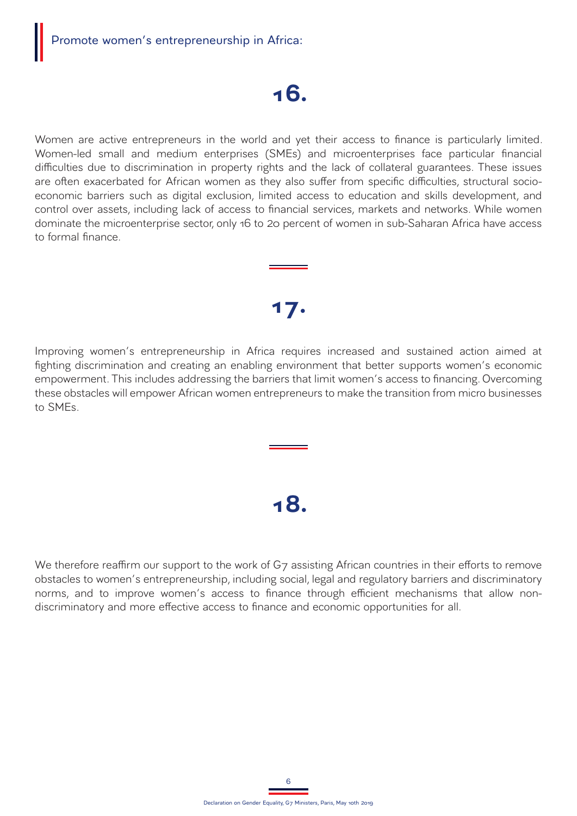## **16.**

Women are active entrepreneurs in the world and yet their access to finance is particularly limited. Women-led small and medium enterprises (SMEs) and microenterprises face particular financial difficulties due to discrimination in property rights and the lack of collateral guarantees. These issues are often exacerbated for African women as they also suffer from specific difficulties, structural socioeconomic barriers such as digital exclusion, limited access to education and skills development, and control over assets, including lack of access to financial services, markets and networks. While women dominate the microenterprise sector, only 16 to 20 percent of women in sub-Saharan Africa have access to formal finance.

### **17.**

Improving women's entrepreneurship in Africa requires increased and sustained action aimed at fighting discrimination and creating an enabling environment that better supports women's economic empowerment. This includes addressing the barriers that limit women's access to financing. Overcoming these obstacles will empower African women entrepreneurs to make the transition from micro businesses to SMEs.

## **18.**

We therefore reaffirm our support to the work of G7 assisting African countries in their efforts to remove obstacles to women's entrepreneurship, including social, legal and regulatory barriers and discriminatory norms, and to improve women's access to finance through efficient mechanisms that allow nondiscriminatory and more effective access to finance and economic opportunities for all.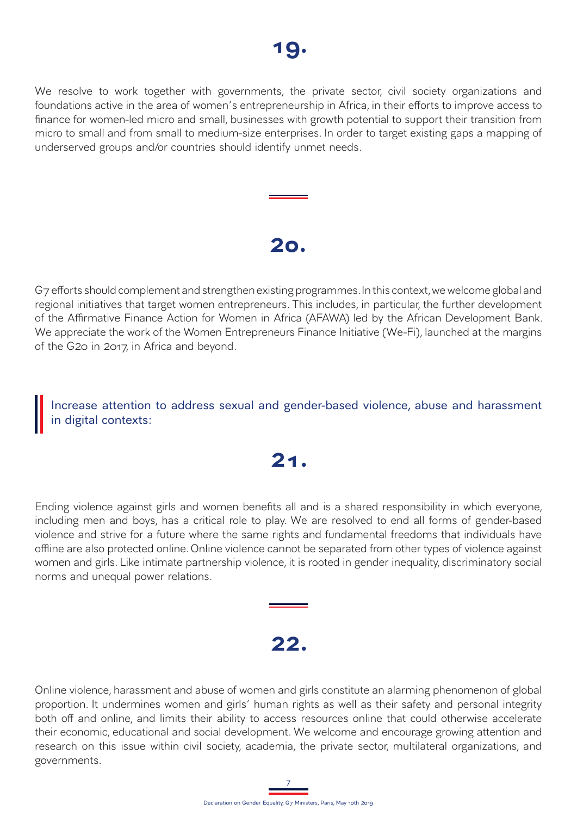We resolve to work together with governments, the private sector, civil society organizations and foundations active in the area of women's entrepreneurship in Africa, in their efforts to improve access to finance for women-led micro and small, businesses with growth potential to support their transition from micro to small and from small to medium-size enterprises. In order to target existing gaps a mapping of underserved groups and/or countries should identify unmet needs.

### **20.**

G7 efforts should complement and strengthen existing programmes. In this context, we welcome global and regional initiatives that target women entrepreneurs. This includes, in particular, the further development of the Affirmative Finance Action for Women in Africa (AFAWA) led by the African Development Bank. We appreciate the work of the Women Entrepreneurs Finance Initiative (We-Fi), launched at the margins of the G20 in 2017, in Africa and beyond.

Increase attention to address sexual and gender-based violence, abuse and harassment in digital contexts:

## **21.**

Ending violence against girls and women benefits all and is a shared responsibility in which everyone, including men and boys, has a critical role to play. We are resolved to end all forms of gender-based violence and strive for a future where the same rights and fundamental freedoms that individuals have offline are also protected online. Online violence cannot be separated from other types of violence against women and girls. Like intimate partnership violence, it is rooted in gender inequality, discriminatory social norms and unequal power relations.

### **22.**

Online violence, harassment and abuse of women and girls constitute an alarming phenomenon of global proportion. It undermines women and girls' human rights as well as their safety and personal integrity both off and online, and limits their ability to access resources online that could otherwise accelerate their economic, educational and social development. We welcome and encourage growing attention and research on this issue within civil society, academia, the private sector, multilateral organizations, and governments.

7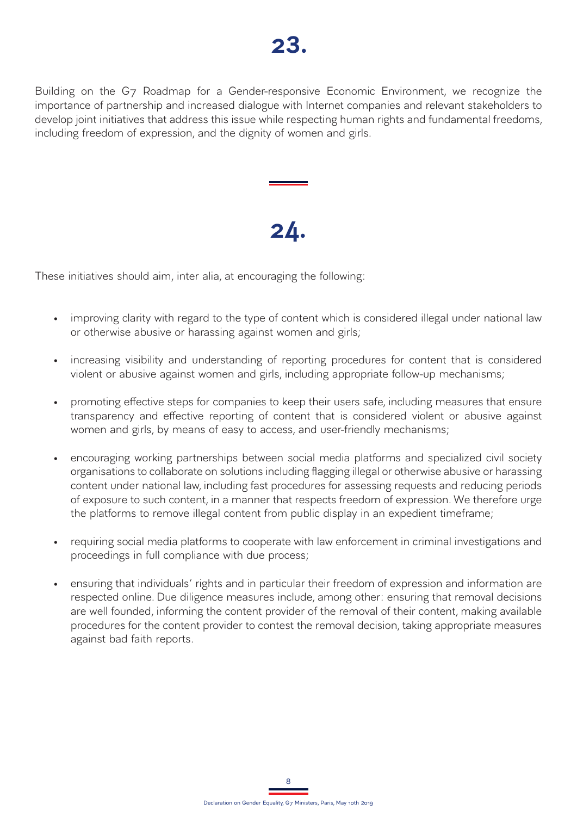Building on the G7 Roadmap for a Gender-responsive Economic Environment, we recognize the importance of partnership and increased dialogue with Internet companies and relevant stakeholders to develop joint initiatives that address this issue while respecting human rights and fundamental freedoms, including freedom of expression, and the dignity of women and girls.

# **24.**

These initiatives should aim, inter alia, at encouraging the following:

- improving clarity with regard to the type of content which is considered illegal under national law or otherwise abusive or harassing against women and girls;
- increasing visibility and understanding of reporting procedures for content that is considered violent or abusive against women and girls, including appropriate follow-up mechanisms;
- promoting effective steps for companies to keep their users safe, including measures that ensure transparency and effective reporting of content that is considered violent or abusive against women and girls, by means of easy to access, and user-friendly mechanisms;
- encouraging working partnerships between social media platforms and specialized civil society organisations to collaborate on solutions including flagging illegal or otherwise abusive or harassing content under national law, including fast procedures for assessing requests and reducing periods of exposure to such content, in a manner that respects freedom of expression. We therefore urge the platforms to remove illegal content from public display in an expedient timeframe;
- requiring social media platforms to cooperate with law enforcement in criminal investigations and proceedings in full compliance with due process;
- ensuring that individuals' rights and in particular their freedom of expression and information are respected online. Due diligence measures include, among other: ensuring that removal decisions are well founded, informing the content provider of the removal of their content, making available procedures for the content provider to contest the removal decision, taking appropriate measures against bad faith reports.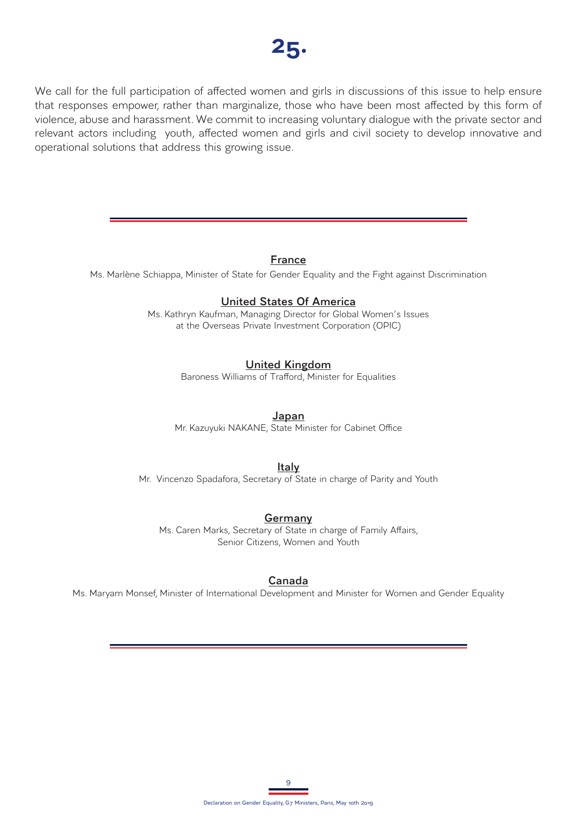

We call for the full participation of affected women and girls in discussions of this issue to help ensure that responses empower, rather than marginalize, those who have been most affected by this form of violence, abuse and harassment. We commit to increasing voluntary dialogue with the private sector and relevant actors including youth, affected women and girls and civil society to develop innovative and operational solutions that address this growing issue.

#### **France**

Ms. Marlène Schiappa, Minister of State for Gender Equality and the Fight against Discrimination

#### **United States Of America**

Ms. Kathryn Kaufman, Managing Director for Global Women's Issues at the Overseas Private Investment Corporation (OPIC)

#### **United Kingdom**

Baroness Williams of Trafford, Minister for Equalities

#### **Japan**

Mr. Kazuyuki NAKANE, State Minister for Cabinet Office

#### **Italy**

Mr. Vincenzo Spadafora, Secretary of State in charge of Parity and Youth

#### **Germany**

Ms. Caren Marks, Secretary of State in charge of Family Affairs, Senior Citizens, Women and Youth

#### **Canada**

Ms. Maryam Monsef, Minister of International Development and Minister for Women and Gender Equality